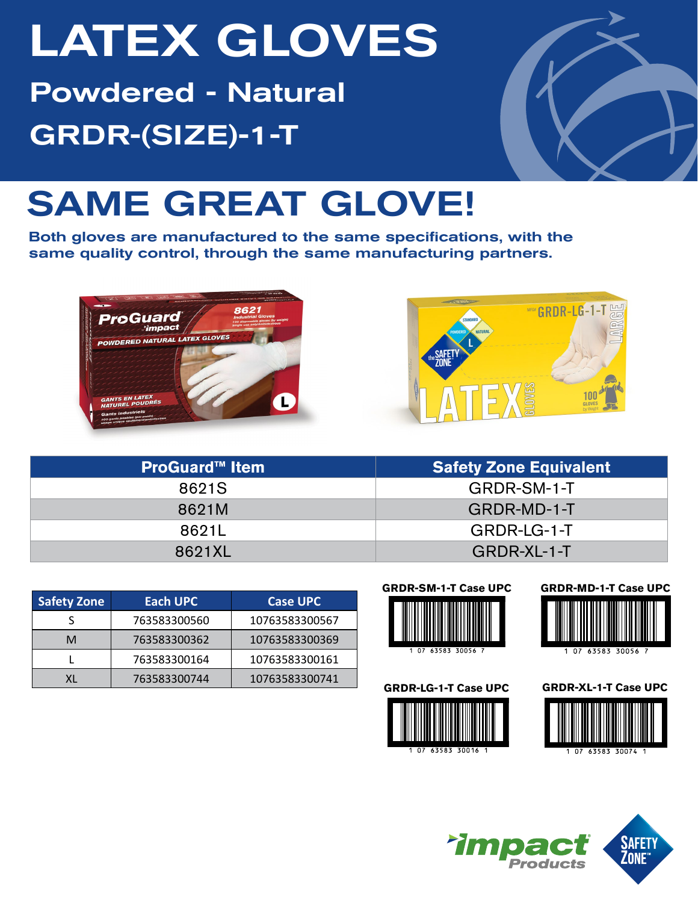# LATEX GLOVES Powdered - Natural GRDR-(SIZE)-1-T



## SAME GREAT GLOVE!

Both gloves are manufactured to the same specifications, with the same quality control, through the same manufacturing partners.





| <b>ProGuard™ Item</b> | <b>Safety Zone Equivalent</b> |  |  |  |  |
|-----------------------|-------------------------------|--|--|--|--|
| 8621S                 | GRDR-SM-1-T                   |  |  |  |  |
| 8621M                 | GRDR-MD-1-T                   |  |  |  |  |
| 8621L                 | GRDR-LG-1-T                   |  |  |  |  |
| 8621XL                | GRDR-XL-1-T                   |  |  |  |  |

| <b>Safety Zone</b> | Each UPC     | <b>Case UPC</b> |  |  |  |
|--------------------|--------------|-----------------|--|--|--|
|                    | 763583300560 | 10763583300567  |  |  |  |
| м                  | 763583300362 | 10763583300369  |  |  |  |
|                    | 763583300164 | 10763583300161  |  |  |  |
|                    | 763583300744 | 10763583300741  |  |  |  |











**GRDR-LG-1-T Case UPC GRDR-XL-1-T Case UPC**